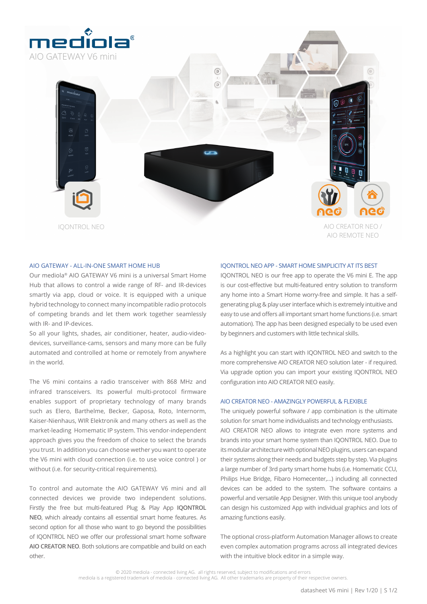

## AIO GATEWAY - ALL-IN-ONE SMART HOME HUB

Our mediola® AIO GATEWAY V6 mini is a universal Smart Home Hub that allows to control a wide range of RF- and IR-devices smartly via app, cloud or voice. It is equipped with a unique hybrid technology to connect many incompatible radio protocols of competing brands and let them work together seamlessly with IR- and IP-devices.

So all your lights, shades, air conditioner, heater, audio-videodevices, surveillance-cams, sensors and many more can be fully automated and controlled at home or remotely from anywhere in the world.

The V6 mini contains a radio transceiver with 868 MHz and infrared transceivers. Its powerful multi-protocol firmware enables support of proprietary technology of many brands such as Elero, Barthelme, Becker, Gaposa, Roto, Internorm, Kaiser-Nienhaus, WIR Elektronik and many others as well as the market-leading Homematic IP system. This vendor-independent approach gives you the freedom of choice to select the brands you trust. In addition you can choose wether you want to operate the V6 mini with cloud connection (i.e. to use voice control ) or without (i.e. for security-critical requirements).

To control and automate the AIO GATEWAY V6 mini and all connected devices we provide two independent solutions. Firstly the free but multi-featured Plug & Play App **IQONTROL NEO**, which already contains all essential smart home features. As second option for all those who want to go beyond the possibilities of IQONTROL NEO we offer our professional smart home software **AIO CREATOR NEO**. Both solutions are compatible and build on each other.

## IQONTROL NEO APP - SMART HOME SIMPLICITY AT ITS BEST

IQONTROL NEO is our free app to operate the V6 mini E. The app is our cost-effective but multi-featured entry solution to transform any home into a Smart Home worry-free and simple. It has a selfgenerating plug & play user interface which is extremely intuitive and easy to use and offers all important smart home functions (i.e. smart automation). The app has been designed especially to be used even by beginners and customers with little technical skills.

As a highlight you can start with IQONTROL NEO and switch to the more comprehensive AIO CREATOR NEO solution later - if required. Via upgrade option you can import your existing IQONTROL NEO configuration into AIO CREATOR NEO easily.

## AIO CREATOR NEO - AMAZINGLY POWERFUL & FLEXIBLE

The uniquely powerful software / app combination is the ultimate solution for smart home individualists and technology enthusiasts. AIO CREATOR NEO allows to integrate even more systems and brands into your smart home system than IQONTROL NEO. Due to its modular architecture with optional NEO plugins, users can expand their systems along their needs and budgets step by step. Via plugins a large number of 3rd party smart home hubs (i.e. Homematic CCU, Philips Hue Bridge, Fibaro Homecenter,…) including all connected devices can be added to the system. The software contains a powerful and versatile App Designer. With this unique tool anybody can design his customized App with individual graphics and lots of amazing functions easily.

The optional cross-platform Automation Manager allows to create even complex automation programs across all integrated devices with the intuitive block editor in a simple way.

© 2020 mediola - connected living AG. all rights reserved, subject to modifications and errors mediola is a registered trademark of mediola - connected living AG. All other trademarks are property of their respective owners.